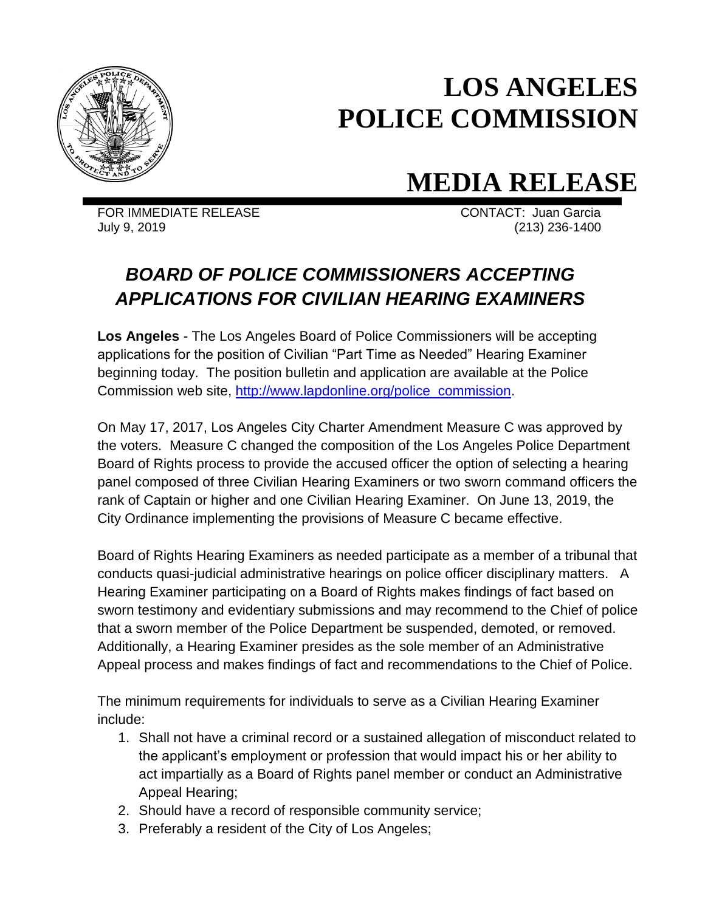

## **LOS ANGELES POLICE COMMISSION**

## **MEDIA RELEASE**

FOR IMMEDIATE RELEASE CONTACT: Juan Garcia July 9, 2019 (213) 236-1400

## *BOARD OF POLICE COMMISSIONERS ACCEPTING APPLICATIONS FOR CIVILIAN HEARING EXAMINERS*

**Los Angeles** - The Los Angeles Board of Police Commissioners will be accepting applications for the position of Civilian "Part Time as Needed" Hearing Examiner beginning today. The position bulletin and application are available at the Police Commission web site, [http://www.lapdonline.org/police\\_commission.](http://www.lapdonline.org/police_commission)

On May 17, 2017, Los Angeles City Charter Amendment Measure C was approved by the voters. Measure C changed the composition of the Los Angeles Police Department Board of Rights process to provide the accused officer the option of selecting a hearing panel composed of three Civilian Hearing Examiners or two sworn command officers the rank of Captain or higher and one Civilian Hearing Examiner. On June 13, 2019, the City Ordinance implementing the provisions of Measure C became effective.

Board of Rights Hearing Examiners as needed participate as a member of a tribunal that conducts quasi-judicial administrative hearings on police officer disciplinary matters. A Hearing Examiner participating on a Board of Rights makes findings of fact based on sworn testimony and evidentiary submissions and may recommend to the Chief of police that a sworn member of the Police Department be suspended, demoted, or removed. Additionally, a Hearing Examiner presides as the sole member of an Administrative Appeal process and makes findings of fact and recommendations to the Chief of Police.

The minimum requirements for individuals to serve as a Civilian Hearing Examiner include:

- 1. Shall not have a criminal record or a sustained allegation of misconduct related to the applicant's employment or profession that would impact his or her ability to act impartially as a Board of Rights panel member or conduct an Administrative Appeal Hearing;
- 2. Should have a record of responsible community service;
- 3. Preferably a resident of the City of Los Angeles;